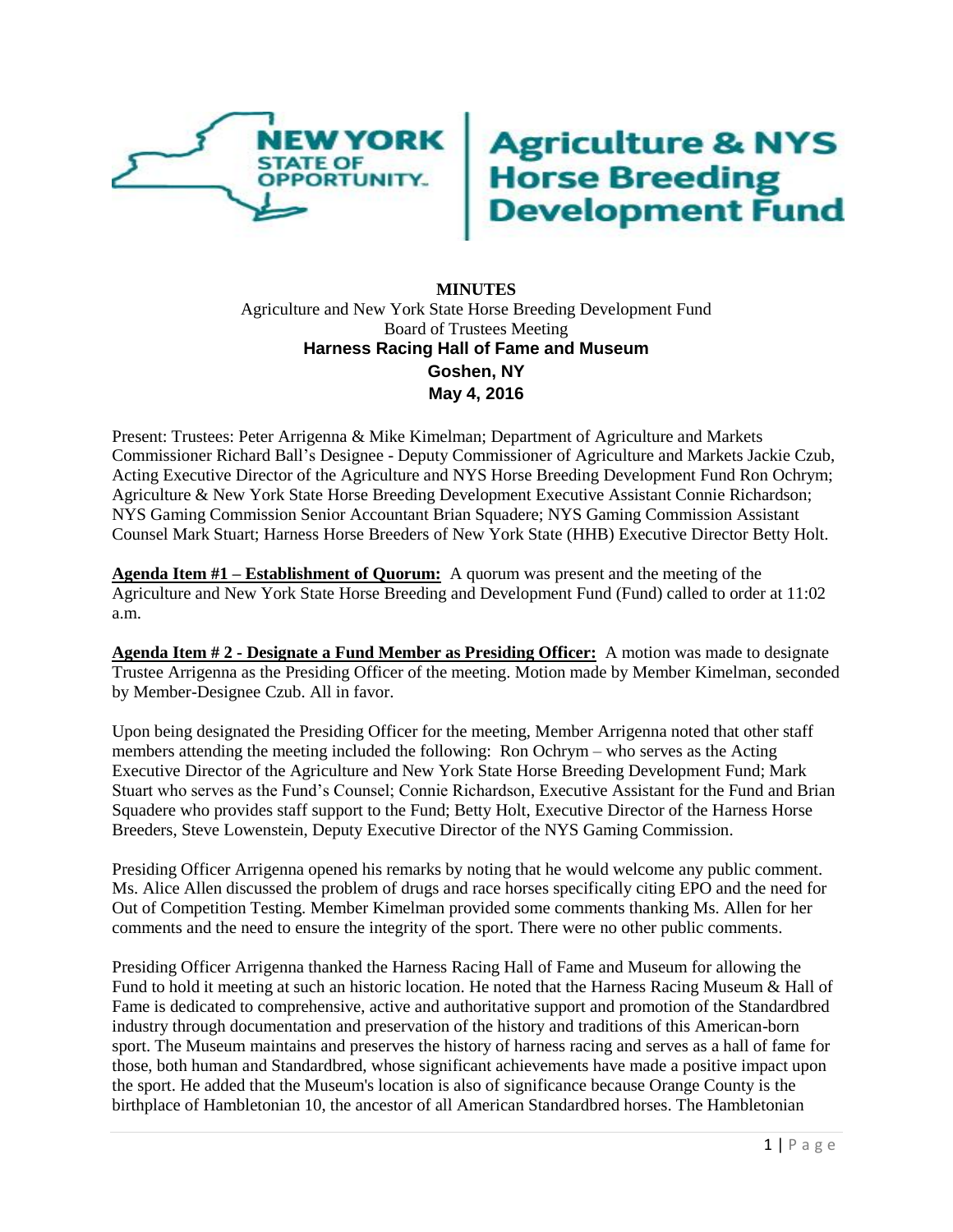

## **Agriculture & NYS<br>Horse Breeding<br>Development Fund**

## **MINUTES** Agriculture and New York State Horse Breeding Development Fund Board of Trustees Meeting **Harness Racing Hall of Fame and Museum Goshen, NY May 4, 2016**

Present: Trustees: Peter Arrigenna & Mike Kimelman; Department of Agriculture and Markets Commissioner Richard Ball's Designee - Deputy Commissioner of Agriculture and Markets Jackie Czub, Acting Executive Director of the Agriculture and NYS Horse Breeding Development Fund Ron Ochrym; Agriculture & New York State Horse Breeding Development Executive Assistant Connie Richardson; NYS Gaming Commission Senior Accountant Brian Squadere; NYS Gaming Commission Assistant Counsel Mark Stuart; Harness Horse Breeders of New York State (HHB) Executive Director Betty Holt.

**Agenda Item #1 – Establishment of Quorum:** A quorum was present and the meeting of the Agriculture and New York State Horse Breeding and Development Fund (Fund) called to order at 11:02 a.m.

**Agenda Item # 2 - Designate a Fund Member as Presiding Officer:** A motion was made to designate Trustee Arrigenna as the Presiding Officer of the meeting. Motion made by Member Kimelman, seconded by Member-Designee Czub. All in favor.

Upon being designated the Presiding Officer for the meeting, Member Arrigenna noted that other staff members attending the meeting included the following: Ron Ochrym – who serves as the Acting Executive Director of the Agriculture and New York State Horse Breeding Development Fund; Mark Stuart who serves as the Fund's Counsel; Connie Richardson, Executive Assistant for the Fund and Brian Squadere who provides staff support to the Fund; Betty Holt, Executive Director of the Harness Horse Breeders, Steve Lowenstein, Deputy Executive Director of the NYS Gaming Commission.

Presiding Officer Arrigenna opened his remarks by noting that he would welcome any public comment. Ms. Alice Allen discussed the problem of drugs and race horses specifically citing EPO and the need for Out of Competition Testing. Member Kimelman provided some comments thanking Ms. Allen for her comments and the need to ensure the integrity of the sport. There were no other public comments.

Presiding Officer Arrigenna thanked the Harness Racing Hall of Fame and Museum for allowing the Fund to hold it meeting at such an historic location. He noted that the Harness Racing Museum & Hall of Fame is dedicated to comprehensive, active and authoritative support and promotion of the Standardbred industry through documentation and preservation of the history and traditions of this American-born sport. The Museum maintains and preserves the history of harness racing and serves as a hall of fame for those, both human and Standardbred, whose significant achievements have made a positive impact upon the sport. He added that the Museum's location is also of significance because Orange County is the birthplace of Hambletonian 10, the ancestor of all American Standardbred horses. The Hambletonian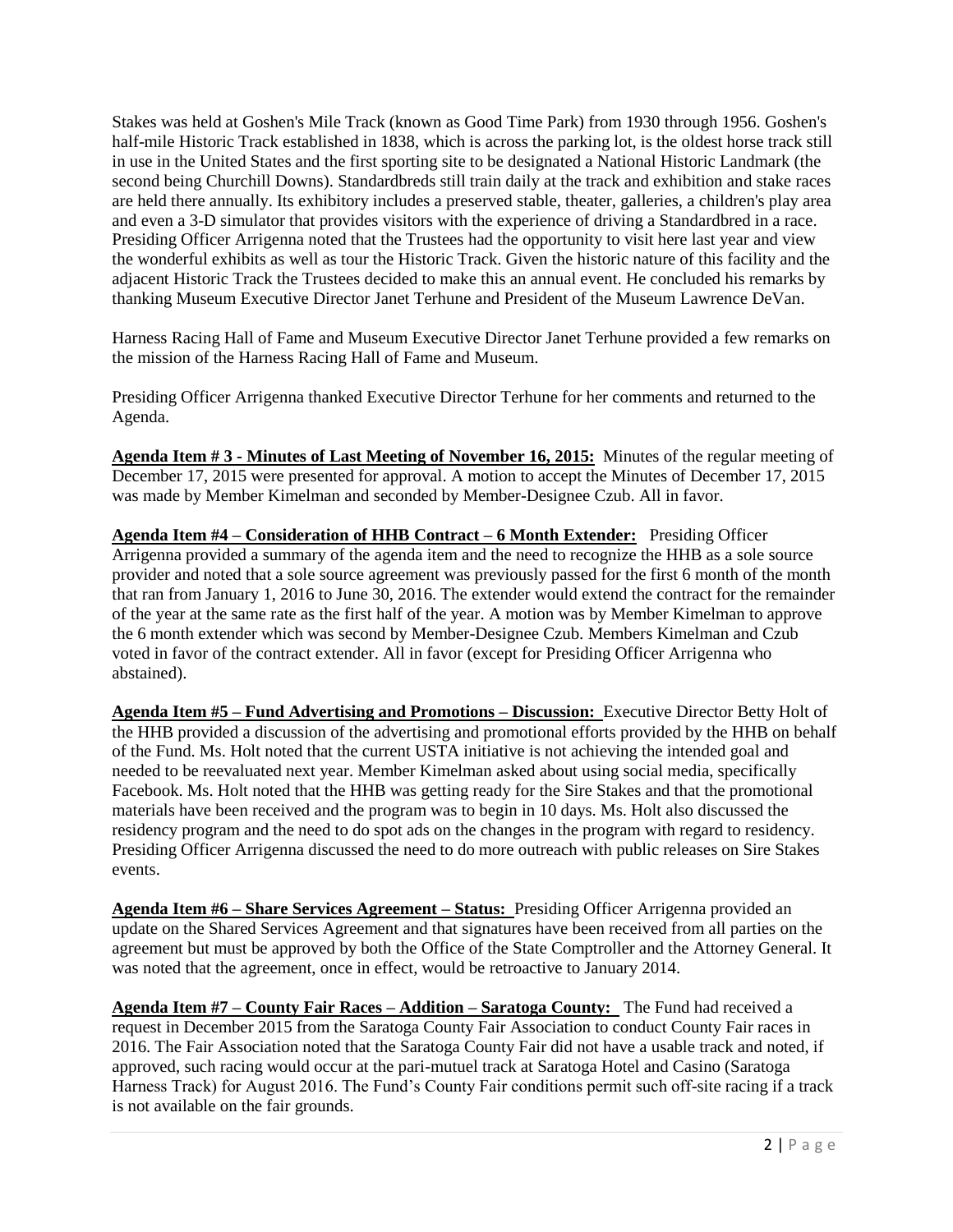Stakes was held at Goshen's Mile Track (known as Good Time Park) from 1930 through 1956. Goshen's half-mile Historic Track established in 1838, which is across the parking lot, is the oldest horse track still in use in the United States and the first sporting site to be designated a National Historic Landmark (the second being Churchill Downs). Standardbreds still train daily at the track and exhibition and stake races are held there annually. Its exhibitory includes a preserved stable, theater, galleries, a children's play area and even a 3-D simulator that provides visitors with the experience of driving a Standardbred in a race. Presiding Officer Arrigenna noted that the Trustees had the opportunity to visit here last year and view the wonderful exhibits as well as tour the Historic Track. Given the historic nature of this facility and the adjacent Historic Track the Trustees decided to make this an annual event. He concluded his remarks by thanking Museum Executive Director Janet Terhune and President of the Museum Lawrence DeVan.

Harness Racing Hall of Fame and Museum Executive Director Janet Terhune provided a few remarks on the mission of the Harness Racing Hall of Fame and Museum.

Presiding Officer Arrigenna thanked Executive Director Terhune for her comments and returned to the Agenda.

**Agenda Item # 3 - Minutes of Last Meeting of November 16, 2015:** Minutes of the regular meeting of December 17, 2015 were presented for approval. A motion to accept the Minutes of December 17, 2015 was made by Member Kimelman and seconded by Member-Designee Czub. All in favor.

**Agenda Item #4 – Consideration of HHB Contract – 6 Month Extender:** Presiding Officer Arrigenna provided a summary of the agenda item and the need to recognize the HHB as a sole source provider and noted that a sole source agreement was previously passed for the first 6 month of the month that ran from January 1, 2016 to June 30, 2016. The extender would extend the contract for the remainder of the year at the same rate as the first half of the year. A motion was by Member Kimelman to approve the 6 month extender which was second by Member-Designee Czub. Members Kimelman and Czub voted in favor of the contract extender. All in favor (except for Presiding Officer Arrigenna who abstained).

**Agenda Item #5 – Fund Advertising and Promotions – Discussion:** Executive Director Betty Holt of the HHB provided a discussion of the advertising and promotional efforts provided by the HHB on behalf of the Fund. Ms. Holt noted that the current USTA initiative is not achieving the intended goal and needed to be reevaluated next year. Member Kimelman asked about using social media, specifically Facebook. Ms. Holt noted that the HHB was getting ready for the Sire Stakes and that the promotional materials have been received and the program was to begin in 10 days. Ms. Holt also discussed the residency program and the need to do spot ads on the changes in the program with regard to residency. Presiding Officer Arrigenna discussed the need to do more outreach with public releases on Sire Stakes events.

**Agenda Item #6 – Share Services Agreement – Status:** Presiding Officer Arrigenna provided an update on the Shared Services Agreement and that signatures have been received from all parties on the agreement but must be approved by both the Office of the State Comptroller and the Attorney General. It was noted that the agreement, once in effect, would be retroactive to January 2014.

**Agenda Item #7 – County Fair Races – Addition – Saratoga County:** The Fund had received a request in December 2015 from the Saratoga County Fair Association to conduct County Fair races in 2016. The Fair Association noted that the Saratoga County Fair did not have a usable track and noted, if approved, such racing would occur at the pari-mutuel track at Saratoga Hotel and Casino (Saratoga Harness Track) for August 2016. The Fund's County Fair conditions permit such off-site racing if a track is not available on the fair grounds.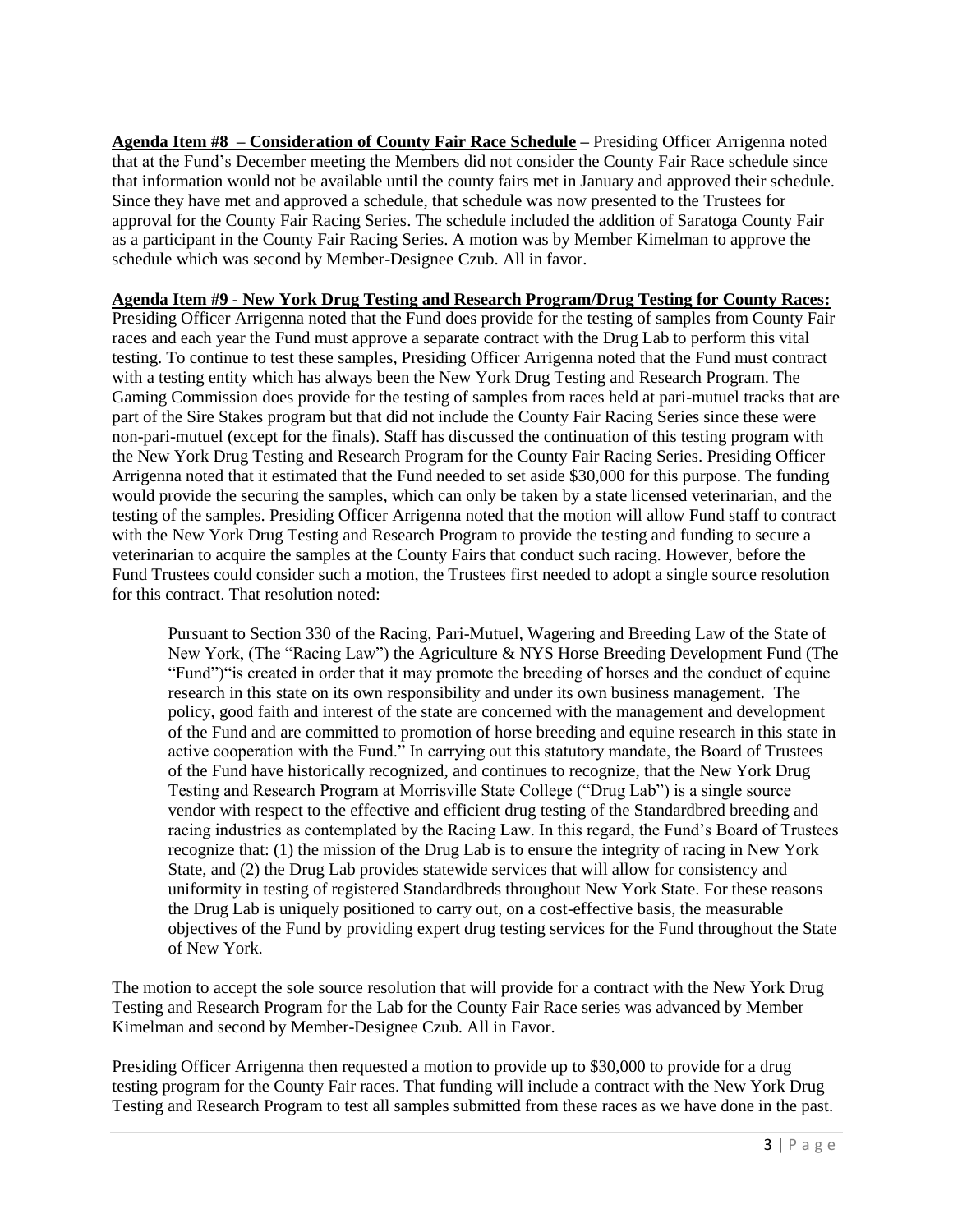**Agenda Item #8 – Consideration of County Fair Race Schedule –** Presiding Officer Arrigenna noted that at the Fund's December meeting the Members did not consider the County Fair Race schedule since that information would not be available until the county fairs met in January and approved their schedule. Since they have met and approved a schedule, that schedule was now presented to the Trustees for approval for the County Fair Racing Series. The schedule included the addition of Saratoga County Fair as a participant in the County Fair Racing Series. A motion was by Member Kimelman to approve the schedule which was second by Member-Designee Czub. All in favor.

## **Agenda Item #9 - New York Drug Testing and Research Program/Drug Testing for County Races:**

Presiding Officer Arrigenna noted that the Fund does provide for the testing of samples from County Fair races and each year the Fund must approve a separate contract with the Drug Lab to perform this vital testing. To continue to test these samples, Presiding Officer Arrigenna noted that the Fund must contract with a testing entity which has always been the New York Drug Testing and Research Program. The Gaming Commission does provide for the testing of samples from races held at pari-mutuel tracks that are part of the Sire Stakes program but that did not include the County Fair Racing Series since these were non-pari-mutuel (except for the finals). Staff has discussed the continuation of this testing program with the New York Drug Testing and Research Program for the County Fair Racing Series. Presiding Officer Arrigenna noted that it estimated that the Fund needed to set aside \$30,000 for this purpose. The funding would provide the securing the samples, which can only be taken by a state licensed veterinarian, and the testing of the samples. Presiding Officer Arrigenna noted that the motion will allow Fund staff to contract with the New York Drug Testing and Research Program to provide the testing and funding to secure a veterinarian to acquire the samples at the County Fairs that conduct such racing. However, before the Fund Trustees could consider such a motion, the Trustees first needed to adopt a single source resolution for this contract. That resolution noted:

Pursuant to Section 330 of the Racing, Pari-Mutuel, Wagering and Breeding Law of the State of New York, (The "Racing Law") the Agriculture & NYS Horse Breeding Development Fund (The "Fund")"is created in order that it may promote the breeding of horses and the conduct of equine research in this state on its own responsibility and under its own business management. The policy, good faith and interest of the state are concerned with the management and development of the Fund and are committed to promotion of horse breeding and equine research in this state in active cooperation with the Fund." In carrying out this statutory mandate, the Board of Trustees of the Fund have historically recognized, and continues to recognize, that the New York Drug Testing and Research Program at Morrisville State College ("Drug Lab") is a single source vendor with respect to the effective and efficient drug testing of the Standardbred breeding and racing industries as contemplated by the Racing Law. In this regard, the Fund's Board of Trustees recognize that: (1) the mission of the Drug Lab is to ensure the integrity of racing in New York State, and (2) the Drug Lab provides statewide services that will allow for consistency and uniformity in testing of registered Standardbreds throughout New York State. For these reasons the Drug Lab is uniquely positioned to carry out, on a cost-effective basis, the measurable objectives of the Fund by providing expert drug testing services for the Fund throughout the State of New York.

The motion to accept the sole source resolution that will provide for a contract with the New York Drug Testing and Research Program for the Lab for the County Fair Race series was advanced by Member Kimelman and second by Member-Designee Czub. All in Favor.

Presiding Officer Arrigenna then requested a motion to provide up to \$30,000 to provide for a drug testing program for the County Fair races. That funding will include a contract with the New York Drug Testing and Research Program to test all samples submitted from these races as we have done in the past.